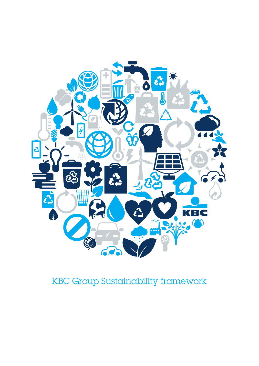

# KBC Group Sustainability framework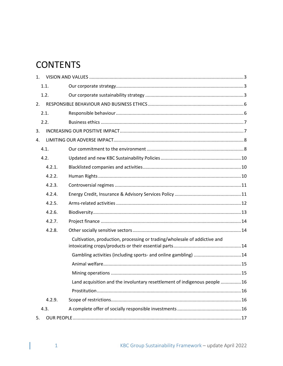## **CONTENTS**

| $1_{-}$ |        |                                                                            |  |  |
|---------|--------|----------------------------------------------------------------------------|--|--|
|         | 1.1.   |                                                                            |  |  |
|         | 1.2.   |                                                                            |  |  |
| 2.      |        |                                                                            |  |  |
|         | 2.1.   |                                                                            |  |  |
|         | 2.2.   |                                                                            |  |  |
| 3.      |        |                                                                            |  |  |
| 4.      |        |                                                                            |  |  |
|         | 4.1.   |                                                                            |  |  |
|         | 4.2.   |                                                                            |  |  |
|         | 4.2.1. |                                                                            |  |  |
|         | 4.2.2. |                                                                            |  |  |
|         | 4.2.3. |                                                                            |  |  |
|         | 4.2.4. |                                                                            |  |  |
|         | 4.2.5. |                                                                            |  |  |
|         | 4.2.6. |                                                                            |  |  |
|         | 4.2.7. |                                                                            |  |  |
|         | 4.2.8. |                                                                            |  |  |
|         |        | Cultivation, production, processing or trading/wholesale of addictive and  |  |  |
|         |        | Gambling activities (including sports- and online gambling)  14            |  |  |
|         |        |                                                                            |  |  |
|         |        |                                                                            |  |  |
|         |        | Land acquisition and the involuntary resettlement of indigenous people  16 |  |  |
|         |        |                                                                            |  |  |
|         | 4.2.9. |                                                                            |  |  |
| 4.3.    |        |                                                                            |  |  |
| 5.      |        |                                                                            |  |  |

T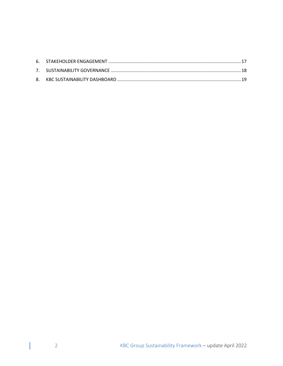$\overline{\phantom{a}}$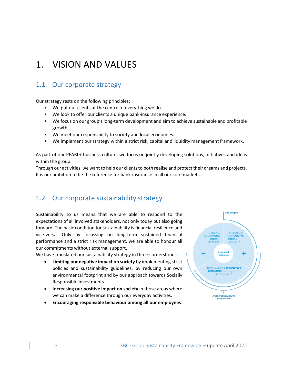## <span id="page-3-0"></span>1. VISION AND VALUES

### <span id="page-3-1"></span>1.1. Our corporate strategy

Our strategy rests on the following principles:

- We put our clients at the centre of everything we do.
- We look to offer our clients a unique bank-insurance experience.
- We focus on our group's long-term development and aim to achieve sustainable and profitable growth.
- We meet our responsibility to society and local economies.
- We implement our strategy within a strict risk, capital and liquidity management framework.

As part of our PEARL+ business culture, we focus on jointly developing solutions, initiatives and ideas within the group.

Through our activities, we want to help our clients to both realise and protect their dreams and projects. It is our ambition to be the reference for bank-insurance in all our core markets.

### <span id="page-3-2"></span>1.2. Our corporate sustainability strategy

Sustainability to us means that we are able to respond to the expectations of all involved stakeholders, not only today but also going forward. The basic condition for sustainability is financial resilience and vice-versa. Only by focussing on long-term sustained financial performance and a strict risk management, we are able to honour all our commitments without external support.

We have translated our sustainability strategy in three cornerstones:

- **Limiting our negative impact on society** by implementing strict policies and sustainability guidelines, by reducing our own environmental footprint and by our approach towards Socially Responsible Investments.
- **Increasing our positive impact on society** in those areas where we can make a difference through our everyday activities.
- **Encouraging responsible behaviour among all our employees**

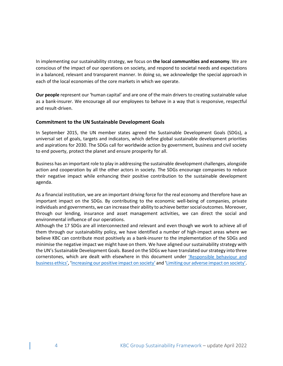In implementing our sustainability strategy, we focus on **the local communities and economy**. We are conscious of the impact of our operations on society, and respond to societal needs and expectations in a balanced, relevant and transparent manner. In doing so, we acknowledge the special approach in each of the local economies of the core markets in which we operate.

**Our people** represent our 'human capital' and are one of the main drivers to creating sustainable value as a bank-insurer. We encourage all our employees to behave in a way that is responsive, respectful and result-driven.

#### **Commitment to the UN Sustainable Development Goals**

In September 2015, the UN member states agreed the Sustainable Development Goals (SDGs), a universal set of goals, targets and indicators, which define global sustainable development priorities and aspirations for 2030. The SDGs call for worldwide action by government, business and civil society to end poverty, protect the planet and ensure prosperity for all.

Business has an important role to play in addressing the sustainable development challenges, alongside action and cooperation by all the other actors in society. The SDGs encourage companies to reduce their negative impact while enhancing their positive contribution to the sustainable development agenda.

As a financial institution, we are an important driving force for the real economy and therefore have an important impact on the SDGs. By contributing to the economic well-being of companies, private individuals and governments, we can increase their ability to achieve better social outcomes. Moreover, through our lending, insurance and asset management activities, we can direct the social and environmental influence of our operations.

Although the 17 SDGs are all interconnected and relevant and even though we work to achieve all of them through our sustainability policy, we have identified a number of high-impact areas where we believe KBC can contribute most positively as a bank-insurer to the implementation of the SDGs and minimise the negative impact we might have on them. We have aligned our sustainability strategy with the UN's Sustainable Development Goals. Based on the SDGs we have translated our strategy into three cornerstones, which are dealt with elsewhere in this document under *Responsible behaviour and* [business ethics'](#page-6-0), ['Increasing our positive impact](#page-7-1) on society' and ['Limiting our adverse impact](#page-8-0) on society'.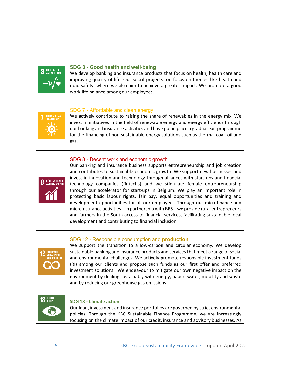| <b>3</b> GOOD HEALTH           | SDG 3 - Good health and well-being<br>We develop banking and insurance products that focus on health, health care and<br>improving quality of life. Our social projects too focus on themes like health and<br>road safety, where we also aim to achieve a greater impact. We promote a good<br>work-life balance among our employees.                                                                                                                                                                                                                                                                                                                                                                                                                                                                                                                                    |
|--------------------------------|---------------------------------------------------------------------------------------------------------------------------------------------------------------------------------------------------------------------------------------------------------------------------------------------------------------------------------------------------------------------------------------------------------------------------------------------------------------------------------------------------------------------------------------------------------------------------------------------------------------------------------------------------------------------------------------------------------------------------------------------------------------------------------------------------------------------------------------------------------------------------|
| AFFORDABLE AND<br>Clean Energy | SDG 7 - Affordable and clean energy<br>We actively contribute to raising the share of renewables in the energy mix. We<br>invest in initiatives in the field of renewable energy and energy efficiency through<br>our banking and insurance activities and have put in place a gradual exit programme<br>for the financing of non-sustainable energy solutions such as thermal coal, oil and<br>gas.                                                                                                                                                                                                                                                                                                                                                                                                                                                                      |
| <b>8</b> DECENT WORK AND       | SDG 8 - Decent work and economic growth<br>Our banking and insurance business supports entrepreneurship and job creation<br>and contributes to sustainable economic growth. We support new businesses and<br>invest in innovation and technology through alliances with start-ups and financial<br>technology companies (fintechs) and we stimulate female entrepreneurship<br>through our accelerator for start-ups in Belgium. We play an important role in<br>protecting basic labour rights, fair pay, equal opportunities and training and<br>development opportunities for all our employees. Through our microfinance and<br>microinsurance activities - in partnership with BRS - we provide rural entrepreneurs<br>and farmers in the South access to financial services, facilitating sustainable local<br>development and contributing to financial inclusion. |
| <b>CONSUMPTIO</b>              | SDG 12 - Responsible consumption and production<br>We support the transition to a low-carbon and circular economy. We develop<br>sustainable banking and insurance products and services that meet a range of social<br>and environmental challenges. We actively promote responsible investment funds<br>(RI) among our clients and propose such funds as our first offer and preferred<br>investment solutions. We endeavour to mitigate our own negative impact on the<br>environment by dealing sustainably with energy, paper, water, mobility and waste<br>and by reducing our greenhouse gas emissions.                                                                                                                                                                                                                                                            |
| <b>13 GLIMATE</b>              | <b>SDG 13 - Climate action</b><br>Our loan, investment and insurance portfolios are governed by strict environmental<br>policies. Through the KBC Sustainable Finance Programme, we are increasingly<br>focusing on the climate impact of our credit, insurance and advisory businesses. As                                                                                                                                                                                                                                                                                                                                                                                                                                                                                                                                                                               |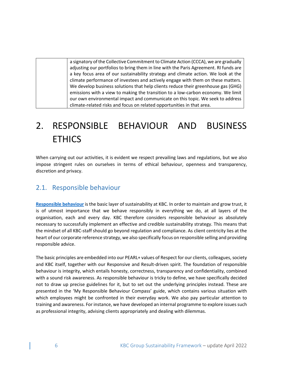a signatory of the Collective Commitment to Climate Action (CCCA), we are gradually adjusting our portfolios to bring them in line with the Paris Agreement. RI funds are a key focus area of our sustainability strategy and climate action. We look at the climate performance of investees and actively engage with them on these matters. We develop business solutions that help clients reduce their greenhouse gas (GHG) emissions with a view to making the transition to a low-carbon economy. We limit our own environmental impact and communicate on this topic. We seek to address climate-related risks and focus on related opportunities in that area.

# <span id="page-6-0"></span>2. RESPONSIBLE BEHAVIOUR AND BUSINESS **ETHICS**

When carrying out our activities, it is evident we respect prevailing laws and regulations, but we also impose stringent rules on ourselves in terms of ethical behaviour, openness and transparency, discretion and privacy.

### <span id="page-6-1"></span>2.1. Responsible behaviour

**[Responsible behaviour](https://www.kbc.com/en/responsible-behaviour)** is the basic layer of sustainability at KBC. In order to maintain and grow trust, it is of utmost importance that we behave responsibly in everything we do, at all layers of the organisation, each and every day. KBC therefore considers responsible behaviour as absolutely necessary to successfully implement an effective and credible sustainability strategy. This means that the mindset of all KBC-staff should go beyond regulation and compliance. As client centricity lies at the heart of our corporate reference strategy, we also specifically focus on responsible selling and providing responsible advice.

The basic principles are embedded into our PEARL+ values of Respect for our clients, colleagues, society and KBC itself, together with our Responsive and Result-driven spirit. The foundation of responsible behaviour is integrity, which entails honesty, correctness, transparency and confidentiality, combined with a sound risk awareness. As responsible behaviour is tricky to define, we have specifically decided not to draw up precise guidelines for it, but to set out the underlying principles instead. These are presented in the 'My Responsible Behaviour Compass' guide, which contains various situation with which employees might be confronted in their everyday work. We also pay particular attention to training and awareness. For instance, we have developed an internal programme to explore issues such as professional integrity, advising clients appropriately and dealing with dilemmas.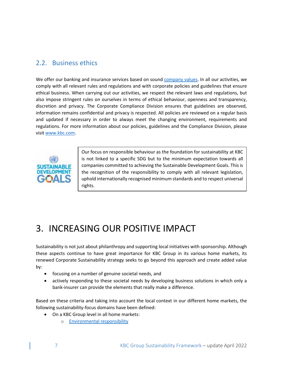### <span id="page-7-0"></span>2.2. Business ethics

We offer our banking and insurance services based on sound [company values.](https://www.kbc.com/en/about-us/our-culture-and-values.html?zone=topnav) In all our activities, we comply with all relevant rules and regulations and with corporate policies and guidelines that ensure ethical business. When carrying out our activities, we respect the relevant laws and regulations, but also impose stringent rules on ourselves in terms of ethical behaviour, openness and transparency, discretion and privacy. The Corporate Compliance Division ensures that guidelines are observed, information remains confidential and privacy is respected. All policies are reviewed on a regular basis and updated if necessary in order to always meet the changing environment, requirements and regulations. For more information about our policies, guidelines and the Compliance Division, please visit [www.kbc.com.](http://www.kbc.com/en/business-ethics)



Our focus on responsible behaviour as the foundation for sustainability at KBC is not linked to a specific SDG but to the minimum expectation towards all companies committed to achieving the Sustainable Development Goals. This is the recognition of the responsibility to comply with all relevant legislation, uphold internationally recognised minimum standards and to respect universal rights.

## <span id="page-7-1"></span>3. INCREASING OUR POSITIVE IMPACT

Sustainability is not just about philanthropy and supporting local initiatives with sponsorship. Although these aspects continue to have great importance for KBC Group in its various home markets, its renewed Corporate Sustainability strategy seeks to go beyond this approach and create added value by:

- focusing on a number of genuine societal needs, and
- actively responding to these societal needs by developing business solutions in which only a bank-insurer can provide the elements that really make a difference.

Based on these criteria and taking into account the local context in our different home markets, the following sustainability-focus domains have been defined:

- On a KBC Group level in all home markets:
	- o [Environmental responsibility](https://www.kbc.com/en/corporate-sustainability/making-a-difference-for-society/environmental-responsibility.html)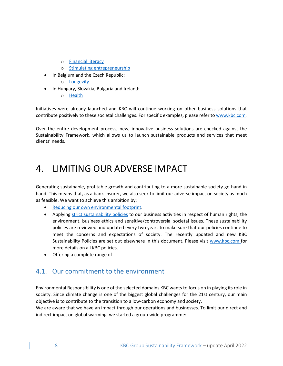- o [Financial literacy](https://www.kbc.com/en/corporate-sustainability/making-a-difference-for-society/financial-literacy.html)
- o [Stimulating entrepreneurship](https://www.kbc.com/en/corporate-sustainability/making-a-difference-for-society/entrepreneurship.html)
- In Belgium and the Czech Republic:
	- o [Longevity](https://www.kbc.com/en/corporate-sustainability/making-a-difference-for-society/longevity.html)
- In Hungary, Slovakia, Bulgaria and Ireland:
	- o [Health](https://www.kbc.com/en/corporate-sustainability/making-a-difference-for-society/health.html)

Initiatives were already launched and KBC will continue working on other business solutions that contribute positively to these societal challenges. For specific examples, please refer t[o www.kbc.com.](http://www.kbc.com/en/making-difference-society)

Over the entire development process, new, innovative business solutions are checked against the Sustainability Framework, which allows us to launch sustainable products and services that meet clients' needs.

## <span id="page-8-0"></span>4. LIMITING OUR ADVERSE IMPACT

Generating sustainable, profitable growth and contributing to a more sustainable society go hand in hand. This means that, as a bank-insurer, we also seek to limit our adverse impact on society as much as feasible. We want to achieve this ambition by:

- [Reducing our own environmental footprint.](https://www.kbc.com/en/corporate-sustainability/limiting-our-adverse-impact/our-own-environmental-footprint.html)
- Applying [strict sustainability policies](https://www.kbc.com/en/corporate-sustainability/limiting-our-adverse-impact/kbc-sustainability-policies.html) to our business activities in respect of human rights, the environment, business ethics and sensitive/controversial societal issues. These sustainability policies are reviewed and updated every two years to make sure that our policies continue to meet the concerns and expectations of society. The recently updated and new KBC Sustainability Policies are set out elsewhere in this document. Please visit [www.kbc.com](https://www.kbc.com/en/corporate-sustainability/setting-rules-and-policies.html) for more details on all KBC policies.
- Offering a complete range of

### <span id="page-8-1"></span>4.1. Our commitment to the environment

Environmental Responsibility is one of the selected domains KBC wants to focus on in playing its role in society. Since climate change is one of the biggest global challenges for the 21st century, our main objective is to contribute to the transition to a low-carbon economy and society.

We are aware that we have an impact through our operations and businesses. To limit our direct and indirect impact on global warming, we started a group-wide programme: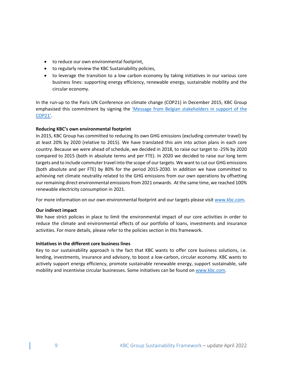- to reduce our own environmental footprint,
- to regularly review the KBC Sustainability policies,
- to leverage the transition to a low carbon economy by taking initiatives in our various core business lines: supporting energy efficiency, renewable energy, sustainable mobility and the circular economy.

In the run-up to the Paris UN Conference on climate change (COP21) in December 2015, KBC Group emphasised this commitment by signing the 'Message from Belgian stakeholders in support of the [COP21'.](https://www.kbc.com/content/dam/kbccom/doc/sustainability-responsibility/FrameworkPolicies/CSD_COP21EngagementLetterandSignatories_EN.pdf)

#### **Reducing KBC's own environmental footprint**

In 2015, KBC Group has committed to reducing its own GHG emissions (excluding commuter travel) by at least 20% by 2020 (relative to 2015). We have translated this aim into action plans in each core country. Because we were ahead of schedule, we decided in 2018, to raise our target to -25% by 2020 compared to 2015 (both in absolute terms and per FTE). In 2020 we decided to raise our long term targets and to include commuter travel into the scope of our targets. We want to cut our GHG emissions (both absolute and per FTE) by 80% for the period 2015-2030. In addition we have committed to achieving net climate neutrality related to the GHG emissions from our own operations by offsetting our remaining direct environmental emissions from 2021 onwards. At the same time, we reached 100% renewable electricity consumption in 2021.

For more information on our own environmental footprint and our targets please visi[t www.kbc.com.](http://www.kbc.com/en/our-own-environmental-footprint)

#### **Our indirect impact**

We have strict policies in place to limit the environmental impact of our core activities in order to reduce the climate and environmental effects of our portfolio of loans, investments and insurance activities. For more details, please refer to the policies section in this framework.

#### **Initiatives in the different core business lines**

Key to our sustainability approach is the fact that KBC wants to offer core business solutions, i.e. lending, investments, insurance and advisory, to boost a low-carbon, circular economy. KBC wants to actively support energy efficiency, promote sustainable renewable energy, support sustainable, safe mobility and incentivise circular businesses. Some initiatives can be found o[n www.kbc.com.](https://www.kbc.com/en/corporate-sustainability/limiting-our-adverse-impact/our-own-environmental-footprint.html?zone=topnav)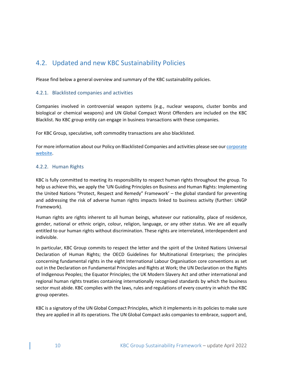### <span id="page-10-0"></span>4.2. Updated and new KBC Sustainability Policies

<span id="page-10-1"></span>Please find below a general overview and summary of the KBC sustainability policies.

#### 4.2.1. Blacklisted companies and activities

Companies involved in controversial weapon systems (e.g., nuclear weapons, cluster bombs and biological or chemical weapons) and UN Global Compact Worst Offenders are included on the KBC Blacklist. No KBC group entity can engage in business transactions with these companies.

For KBC Group, speculative, soft commodity transactions are also blacklisted.

For more information about our Policy on Blacklisted Companies and activities please see ou[r corporate](https://www.kbc.com/content/dam/kbccom/doc/sustainability-responsibility/FrameworkPolicies/CSD_KBCGroupPolicyonBlacklistedCompanies.pdf)  [website.](https://www.kbc.com/content/dam/kbccom/doc/sustainability-responsibility/FrameworkPolicies/CSD_KBCGroupPolicyonBlacklistedCompanies.pdf)

#### <span id="page-10-2"></span>4.2.2. Human Rights

KBC is fully committed to meeting its responsibility to respect human rights throughout the group. To help us achieve this, we apply the 'UN Guiding Principles on Business and Human Rights: Implementing the United Nations "Protect, Respect and Remedy" Framework' – the global standard for preventing and addressing the risk of adverse human rights impacts linked to business activity (further: UNGP Framework).

Human rights are rights inherent to all human beings, whatever our nationality, place of residence, gender, national or ethnic origin, colour, religion, language, or any other status. We are all equally entitled to our human rights without discrimination. These rights are interrelated, interdependent and indivisible.

In particular, KBC Group commits to respect the letter and the spirit of the United Nations Universal Declaration of Human Rights; the OECD Guidelines for Multinational Enterprises; the principles concerning fundamental rights in the eight International Labour Organisation core conventions as set out in the Declaration on Fundamental Principles and Rights at Work; the UN Declaration on the Rights of Indigenous Peoples; the Equator Principles; the UK Modern Slavery Act and other international and regional human rights treaties containing internationally recognised standards by which the business sector must abide. KBC complies with the laws, rules and regulations of every country in which the KBC group operates.

KBC is a signatory of the UN Global Compact Principles, which it implements in its policies to make sure they are applied in all its operations. The UN Global Compact asks companies to embrace, support and,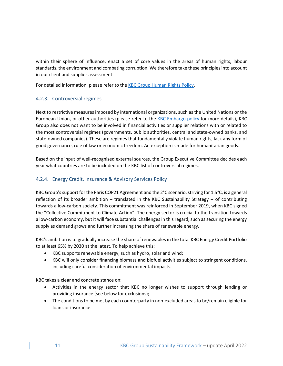within their sphere of influence, enact a set of core values in the areas of human rights, labour standards, the environment and combating corruption. We therefore take these principles into account in our client and supplier assessment.

For detailed information, please refer to th[e KBC Group Human Rights Policy.](https://www.kbc.com/content/dam/kbccom/doc/sustainability-responsibility/FrameworkPolicies/CSD_KBCGroupPolicyonHumanRights.pdf)

#### <span id="page-11-0"></span>4.2.3. Controversial regimes

Next to restrictive measures imposed by international organizations, such as the United Nations or the European Union, or other authorities (please refer to the [KBC Embargo policy](https://www.kbc.com/content/dam/kbccom/doc/sustainability-reponsability/FrameworkPolicies/CSD_EmbargoPolicy_en.pdf) for more details), KBC Group also does not want to be involved in financial activities or supplier relations with or related to the most controversial regimes (governments, public authorities, central and state-owned banks, and state-owned companies). These are regimes that fundamentally violate human rights, lack any form of good governance, rule of law or economic freedom. An exception is made for humanitarian goods.

Based on the input of well-recognised external sources, the Group Executive Committee decides each year what countries are to be included on the KBC list of controversial regimes.

#### <span id="page-11-1"></span>4.2.4. Energy Credit, Insurance & Advisory Services Policy

KBC Group's support for the Paris COP21 Agreement and the 2°C scenario, striving for 1.5°C, is a general reflection of its broader ambition – translated in the KBC Sustainability Strategy – of contributing towards a low-carbon society. This commitment was reinforced in September 2019, when KBC signed the "Collective Commitment to Climate Action". The energy sector is crucial to the transition towards a low-carbon economy, but it will face substantial challenges in this regard, such as securing the energy supply as demand grows and further increasing the share of renewable energy.

KBC's ambition is to gradually increase the share of renewables in the total KBC Energy Credit Portfolio to at least 65% by 2030 at the latest. To help achieve this:

- KBC supports renewable energy, such as hydro, solar and wind;
- KBC will only consider financing biomass and biofuel activities subject to stringent conditions, including careful consideration of environmental impacts.

KBC takes a clear and concrete stance on:

- Activities in the energy sector that KBC no longer wishes to support through lending or providing insurance (see below for exclusions);
- The conditions to be met by each counterparty in non-excluded areas to be/remain eligible for loans or insurance.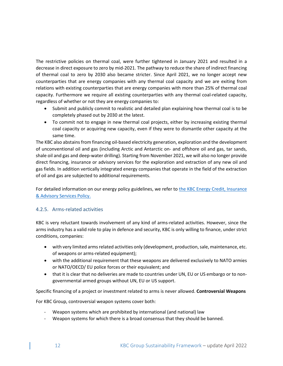The restrictive policies on thermal coal, were further tightened in January 2021 and resulted in a decrease in direct exposure to zero by mid-2021. The pathway to reduce the share of indirect financing of thermal coal to zero by 2030 also became stricter. Since April 2021, we no longer accept new counterparties that are energy companies with any thermal coal capacity and we are exiting from relations with existing counterparties that are energy companies with more than 25% of thermal coal capacity. Furthermore we require all existing counterparties with any thermal coal-related capacity, regardless of whether or not they are energy companies to:

- Submit and publicly commit to realistic and detailed plan explaining how thermal coal is to be completely phased out by 2030 at the latest.
- To commit not to engage in new thermal coal projects, either by increasing existing thermal coal capacity or acquiring new capacity, even if they were to dismantle other capacity at the same time.

The KBC also abstains from financing oil-based electricity generation, exploration and the development of unconventional oil and gas (including Arctic and Antarctic on- and offshore oil and gas, tar sands, shale oil and gas and deep-water drilling). Starting from November 2021, we will also no longer provide direct financing, insurance or advisory services for the exploration and extraction of any new oil and gas fields. In addition vertically integrated energy companies that operate in the field of the extraction of oil and gas are subjected to additional requirements.

For detailed information on our energy policy guidelines, we refer to [the KBC Energy Credit,](https://www.kbc.com/content/dam/kbccom/doc/sustainability-responsibility/FrameworkPolicies/CSD_KBCGroupEnergyPolicy_May2020.pdf) Insurance [& Advisory Services Policy.](https://www.kbc.com/content/dam/kbccom/doc/sustainability-responsibility/FrameworkPolicies/CSD_KBCGroupEnergyPolicy_May2020.pdf)

#### <span id="page-12-0"></span>4.2.5. Arms-related activities

KBC is very reluctant towards involvement of any kind of arms-related activities. However, since the arms industry has a valid role to play in defence and security, KBC is only willing to finance, under strict conditions, companies:

- with very limited arms related activities only (development, production, sale, maintenance, etc. of weapons or arms-related equipment);
- with the additional requirement that these weapons are delivered exclusively to NATO armies or NATO/OECD/ EU police forces or their equivalent; and
- that it is clear that no deliveries are made to countries under UN, EU or US embargo or to nongovernmental armed groups without UN, EU or US support.

Specific financing of a project or investment related to arms is never allowed. **Controversial Weapons**

For KBC Group, controversial weapon systems cover both:

- Weapon systems which are prohibited by international (and national) law
- Weapon systems for which there is a broad consensus that they should be banned.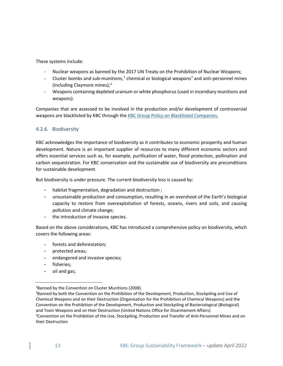These systems include:

- Nuclear weapons as banned by the 2017 UN Treaty on the Prohibition of Nuclear Weapons;
- Cluster bombs and sub-munitions,<sup>1</sup> chemical or biological weapons<sup>[2](#page-13-2)</sup> and anti-personnel mines (including Claymore mines); $<sup>3</sup>$  $<sup>3</sup>$  $<sup>3</sup>$ </sup>
- Weapons containing depleted uranium or white phosphorus (used in incendiary munitions and weapons).

Companies that are assessed to be involved in the production and/or development of controversial weapons are blacklisted by KBC through the KBC Group Policy [on Blacklisted Companies.](https://www.kbc.com/content/dam/kbccom/doc/sustainability-responsibility/FrameworkPolicies/CSD_KBCGroupPolicyonBlacklistedCompanies.pdf)

#### <span id="page-13-0"></span>4.2.6. Biodiversity

KBC acknowledges the importance of biodiversity as it contributes to economic prosperity and human development. Nature is an important supplier of resources to many different economic sectors and offers essential services such as, for example, purification of water, flood protection, pollination and carbon sequestration. For KBC conservation and the sustainable use of biodiversity are preconditions for sustainable development.

But biodiversity is under pressure. The current biodiversity loss is caused by:

- habitat fragmentation, degradation and destruction;
- unsustainable production and consumption, resulting in an overshoot of the Earth's biological capacity to restore from overexploitation of forests, oceans, rivers and soils, and causing pollution and climate change;
- the introduction of invasive species.

Based on the above considerations, KBC has introduced a comprehensive policy on biodiversity, which covers the following areas:

- forests and deforestation;
- protected areas;
- endangered and invasive species;
- fisheries;
- oil and gas;

<span id="page-13-1"></span><sup>&</sup>lt;sup>1</sup>Banned by the Convention on Cluster Munitions (2008).

<span id="page-13-3"></span><span id="page-13-2"></span><sup>&</sup>lt;sup>2</sup>Banned by both the Convention on the Prohibition of the Development, Production, Stockpiling and Use of Chemical Weapons and on their Destruction (Organisation for the Prohibition of Chemical Weapons) and the Convention on the Prohibition of the Development, Production and Stockpiling of Bacteriological (Biological) and Toxin Weapons and on their Destruction (United Nations Office for Disarmament Affairs) <sup>3</sup>Convention on the Prohibition of the Use, Stockpiling, Production and Transfer of Anti-Personnel Mines and on their Destruction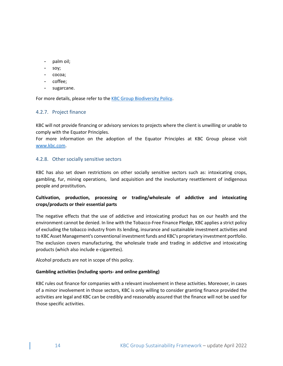- palm oil;
- soy;
- cocoa;
- coffee;
- sugarcane.

For more details, please refer to the [KBC Group Biodiversity Policy.](https://www.kbc.com/content/dam/kbccom/doc/sustainability-reponsability/FrameworkPolicies/CSD_KBCGroupBiodiversityPolicy_May2020.pdf)

#### <span id="page-14-0"></span>4.2.7. Project finance

KBC will not provide financing or advisory services to projects where the client is unwilling or unable to comply with the Equator Principles.

For more information on the adoption of the Equator Principles at KBC Group please visit [www.kbc.com.](https://www.kbc.com/en/corporate-sustainability/limiting-our-adverse-impact/equator-principles.html)

#### <span id="page-14-1"></span>4.2.8. Other socially sensitive sectors

KBC has also set down restrictions on other socially sensitive sectors such as: intoxicating crops, gambling, fur, mining operations, land acquisition and the involuntary resettlement of indigenous people and prostitution**.**

#### <span id="page-14-2"></span>**Cultivation, production, processing or trading/wholesale of addictive and intoxicating crops/products or their essential parts**

The negative effects that the use of addictive and intoxicating product has on our health and the environment cannot be denied. In line with the Tobacco-Free Finance Pledge, KBC applies a strict policy of excluding the tobacco industry from its lending, insurance and sustainable investment activities and to KBC Asset Management's conventional investment funds and KBC's proprietary investment portfolio. The exclusion covers manufacturing, the wholesale trade and trading in addictive and intoxicating products (which also include e-cigarettes).

Alcohol products are not in scope of this policy.

#### <span id="page-14-3"></span>**Gambling activities (including sports- and online gambling)**

KBC rules out finance for companies with a relevant involvement in these activities. Moreover, in cases of a minor involvement in those sectors, KBC is only willing to consider granting finance provided the activities are legal and KBC can be credibly and reasonably assured that the finance will not be used for those specific activities.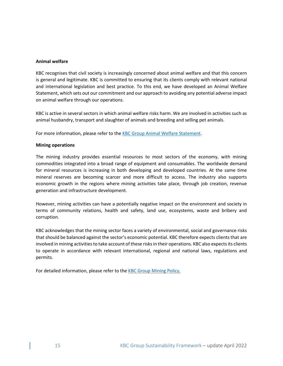#### <span id="page-15-0"></span>**Animal welfare**

KBC recognises that civil society is increasingly concerned about animal welfare and that this concern is general and legitimate. KBC is committed to ensuring that its clients comply with relevant national and international legislation and best practice. To this end, we have developed an Animal Welfare Statement, which sets out our commitment and our approach to avoiding any potential adverse impact on animal welfare through our operations.

KBC is active in several sectors in which animal welfare risks harm. We are involved in activities such as animal husbandry, transport and slaughter of animals and breeding and selling pet animals.

<span id="page-15-1"></span>For more information, please refer to the **KBC Group Animal Welfare Statement**.

#### **Mining operations**

The mining industry provides essential resources to most sectors of the economy, with mining commodities integrated into a broad range of equipment and consumables. The worldwide demand for mineral resources is increasing in both developing and developed countries. At the same time mineral reserves are becoming scarcer and more difficult to access. The industry also supports economic growth in the regions where mining activities take place, through job creation, revenue generation and infrastructure development.

However, mining activities can have a potentially negative impact on the environment and society in terms of community relations, health and safety, land use, ecosystems, waste and bribery and corruption.

KBC acknowledges that the mining sector faces a variety of environmental, social and governance risks that should be balanced against the sector's economic potential. KBC therefore expects clients that are involved in mining activities to take account of these risks in their operations. KBC also expects its clients to operate in accordance with relevant international, regional and national laws, regulations and permits.

For detailed information, please refer to the **KBC Group Mining Policy**.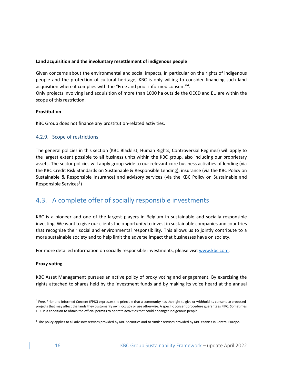#### <span id="page-16-0"></span>**Land acquisition and the involuntary resettlement of indigenous people**

Given concerns about the environmental and social impacts, in particular on the rights of indigenous people and the protection of cultural heritage, KBC is only willing to consider financing such land acquisition where it complies with the "Free and prior informed consent"<sup>[4](#page-16-4)</sup>.

Only projects involving land acquisition of more than 1000 ha outside the OECD and EU are within the scope of this restriction.

#### <span id="page-16-1"></span>**Prostitution**

<span id="page-16-2"></span>KBC Group does not finance any prostitution-related activities.

#### 4.2.9. Scope of restrictions

The general policies in this section (KBC Blacklist, Human Rights, Controversial Regimes) will apply to the largest extent possible to all business units within the KBC group, also including our proprietary assets. The sector policies will apply group-wide to our relevant core business activities of lending (via the KBC Credit Risk Standards on Sustainable & Responsible Lending), insurance (via the KBC Policy on Sustainable & Responsible Insurance) and advisory services (via the KBC Policy on Sustainable and Responsible Services<sup>[5](#page-16-5)</sup>)

### <span id="page-16-3"></span>4.3. A complete offer of socially responsible investments

KBC is a pioneer and one of the largest players in Belgium in sustainable and socially responsible investing. We want to give our clients the opportunity to invest in sustainable companies and countries that recognise their social and environmental responsibility. This allows us to jointly contribute to a more sustainable society and to help limit the adverse impact that businesses have on society.

For more detailed information on socially responsible investments, please visit [www.kbc.com.](https://www.kbc.com/en/investments)

#### **Proxy voting**

KBC Asset Management pursues an active policy of proxy voting and engagement. By exercising the rights attached to shares held by the investment funds and by making its voice heard at the annual

<span id="page-16-4"></span><sup>&</sup>lt;sup>4</sup> Free, Prior and Informed Consent (FPIC) expresses the principle that a community has the right to give or withhold its consent to proposed projects that may affect the lands they customarily own, occupy or use otherwise. A specific consent procedure guarantees FIPC. Sometimes FIPC is a condition to obtain the official permits to operate activities that could endanger indigenous people.

<span id="page-16-5"></span><sup>&</sup>lt;sup>5</sup> The policy applies to all advisory services provided by KBC Securities and to similar services provided by KBC entities in Central Europe.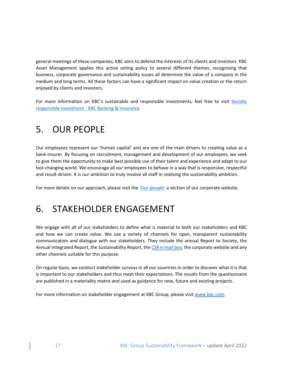general meetings of these companies, KBC aims to defend the interests of its clients and investors. KBC Asset Management applies this active voting policy to several different themes, recognising that business, corporate governance and sustainability issues all determine the value of a company in the medium and long terms. All these factors can have a significant impact on value creation or the return enjoyed by clients and investors.

For more information on KBC's sustainable and responsible investments, feel free to visit Socially responsible investment - [KBC Banking & Insurance](https://www.kbc.be/retail/en/investments/socially-responsible-investment.html)

## <span id="page-17-0"></span>5. OUR PEOPLE

Our employees represent our 'human capital' and are one of the main drivers to creating value as a bank-insurer. By focusing on recruitment, management and development of our employees, we seek to give them the opportunity to make best possible use of their talent and experience and adapt to our fast-changing world. We encourage all our employees to behave in a way that is responsive, respectful and result-driven. It is our ambition to truly involve all staff in realising the sustainability ambition.

<span id="page-17-1"></span>For more details on our approach, please visit the ['Our people'](https://www.kbc.com/en/our-people) a section of our corporate website.

### 6. STAKEHOLDER ENGAGEMENT

We engage with all of our stakeholders to define what is material to both our stakeholders and KBC and how we can create value. We use a variety of channels for open, transparent sustainability communication and dialogue with our stakeholders. They include the annual Report to Society, the Annual Integrated Report, the Sustainability Report, the [CSR e-mail box,](mailto:csr.feedback@kbc.be) the corporate website and any other channels suitable for this purpose.

On regular basis, we conduct stakeholder surveys in all our countries in order to discover what it is that is important to our stakeholders and thus meet their expectations. The results from the questionnaire are published in a materiality matrix and used as guidance for new, future and existing projects.

For more information on stakeholder engagement at KBC Group, please visi[t www.kbc.com.](https://www.kbc.com/en/intro)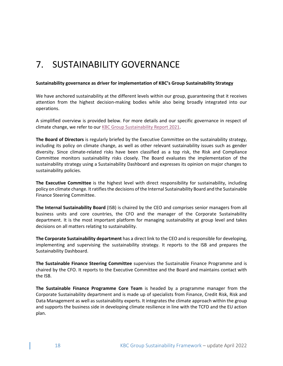## <span id="page-18-0"></span>7. SUSTAINABILITY GOVERNANCE

#### **Sustainability governance as driver for implementation of KBC's Group Sustainability Strategy**

We have anchored sustainability at the different levels within our group, guaranteeing that it receives attention from the highest decision-making bodies while also being broadly integrated into our operations.

A simplified overview is provided below. For more details and our specific governance in respect of climate change, we refer to our [KBC Group Sustainability Report 2021.](https://www.kbc.com/content/dam/kbccom/doc/sustainability-responsibility/PerfRep/2021/csr-sr-2021.pdf)

**The Board of Directors** is regularly briefed by the Executive Committee on the sustainability strategy, including its policy on climate change, as well as other relevant sustainability issues such as gender diversity. Since climate-related risks have been classified as a top risk, the Risk and Compliance Committee monitors sustainability risks closely. The Board evaluates the implementation of the sustainability strategy using a Sustainability Dashboard and expresses its opinion on major changes to sustainability policies.

**The Executive Committee** is the highest level with direct responsibility for sustainability, including policy on climate change. It ratifies the decisions of the Internal Sustainability Board and the Sustainable Finance Steering Committee.

**The Internal Sustainability Board** (ISB) is chaired by the CEO and comprises senior managers from all business units and core countries, the CFO and the manager of the Corporate Sustainability department. It is the most important platform for managing sustainability at group level and takes decisions on all matters relating to sustainability.

**The Corporate Sustainability department** has a direct link to the CEO and is responsible for developing, implementing and supervising the sustainability strategy. It reports to the ISB and prepares the Sustainability Dashboard.

**The Sustainable Finance Steering Committee** supervises the Sustainable Finance Programme and is chaired by the CFO. It reports to the Executive Committee and the Board and maintains contact with the ISB.

**The Sustainable Finance Programme Core Team** is headed by a programme manager from the Corporate Sustainability department and is made up of specialists from Finance, Credit Risk, Risk and Data Management as well as sustainability experts. It integrates the climate approach within the group and supports the business side in developing climate resilience in line with the TCFD and the EU action plan.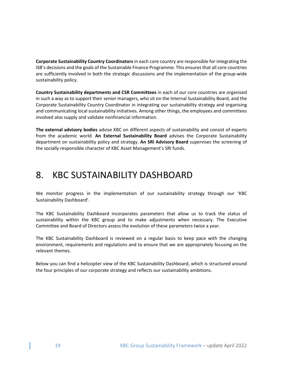**Corporate Sustainability Country Coordinators**in each core country are responsible for integrating the ISB's decisions and the goals of the Sustainable Finance Programme. This ensures that all core countries are sufficiently involved in both the strategic discussions and the implementation of the group-wide sustainability policy.

**Country Sustainability departments and CSR Committees** in each of our core countries are organised in such a way as to support their senior managers, who sit on the Internal Sustainability Board, and the Corporate Sustainability Country Coordinator in integrating our sustainability strategy and organising and communicating local sustainability initiatives. Among other things, the employees and committees involved also supply and validate nonfinancial information.

**The external advisory bodies** advise KBC on different aspects of sustainability and consist of experts from the academic world. **An External Sustainability Board** advises the Corporate Sustainability department on sustainability policy and strategy. **An SRI Advisory Board** supervises the screening of the socially responsible character of KBC Asset Management's SRI funds.

## <span id="page-19-0"></span>8. KBC SUSTAINABILITY DASHBOARD

We monitor progress in the implementation of our sustainability strategy through our 'KBC Sustainability Dashboard'.

The KBC Sustainability Dashboard incorporates parameters that allow us to track the status of sustainability within the KBC group and to make adjustments when necessary. The Executive Committee and Board of Directors assess the evolution of these parameters twice a year.

The KBC Sustainability Dashboard is reviewed on a regular basis to keep pace with the changing environment, requirements and regulations and to ensure that we are appropriately focusing on the relevant themes.

Below you can find a helicopter view of the KBC Sustainability Dashboard, which is structured around the four principles of our corporate strategy and reflects our sustainability ambitions.